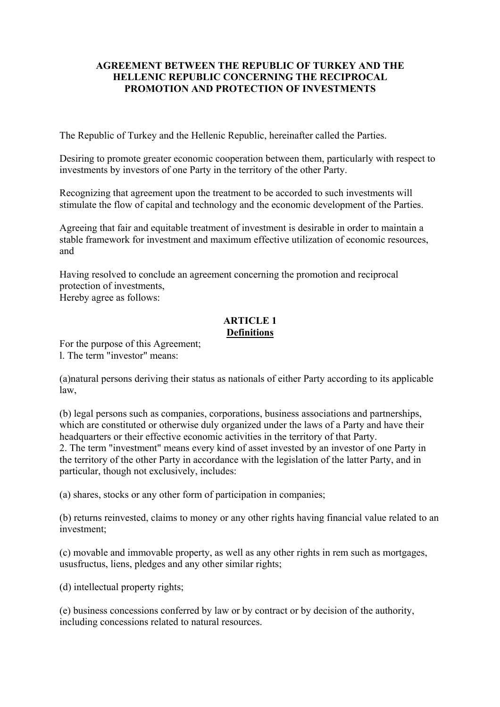### **AGREEMENT BETWEEN THE REPUBLIC OF TURKEY AND THE HELLENIC REPUBLIC CONCERNING THE RECIPROCAL PROMOTION AND PROTECTION OF INVESTMENTS**

The Republic of Turkey and the Hellenic Republic, hereinafter called the Parties.

Desiring to promote greater economic cooperation between them, particularly with respect to investments by investors of one Party in the territory of the other Party.

Recognizing that agreement upon the treatment to be accorded to such investments will stimulate the flow of capital and technology and the economic development of the Parties.

Agreeing that fair and equitable treatment of investment is desirable in order to maintain a stable framework for investment and maximum effective utilization of economic resources, and

Having resolved to conclude an agreement concerning the promotion and reciprocal protection of investments,

Hereby agree as follows:

#### **ARTICLE 1 Definitions**

For the purpose of this Agreement; l. The term "investor" means:

(a)natural persons deriving their status as nationals of either Party according to its applicable law,

(b) legal persons such as companies, corporations, business associations and partnerships, which are constituted or otherwise duly organized under the laws of a Party and have their headquarters or their effective economic activities in the territory of that Party. 2. The term "investment" means every kind of asset invested by an investor of one Party in the territory of the other Party in accordance with the legislation of the latter Party, and in particular, though not exclusively, includes:

(a) shares, stocks or any other form of participation in companies;

(b) returns reinvested, claims to money or any other rights having financial value related to an investment;

(c) movable and immovable property, as well as any other rights in rem such as mortgages, ususfructus, liens, pledges and any other similar rights;

(d) intellectual property rights;

(e) business concessions conferred by law or by contract or by decision of the authority, including concessions related to natural resources.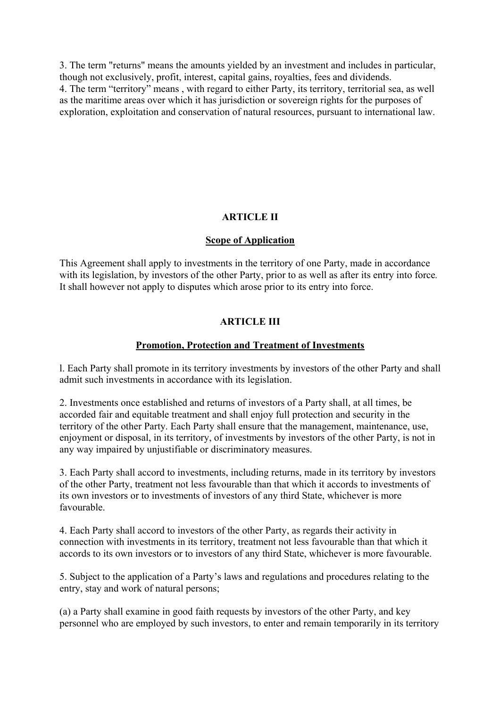3. The term "returns" means the amounts yielded by an investment and includes in particular, though not exclusively, profit, interest, capital gains, royalties, fees and dividends. 4. The term "territory" means , with regard to either Party, its territory, territorial sea, as well as the maritime areas over which it has jurisdiction or sovereign rights for the purposes of exploration, exploitation and conservation of natural resources, pursuant to international law.

# **ARTICLE II**

### **Scope of Application**

This Agreement shall apply to investments in the territory of one Party, made in accordance with its legislation, by investors of the other Party, prior to as well as after its entry into force*.* It shall however not apply to disputes which arose prior to its entry into force.

### **ARTICLE III**

#### **Promotion, Protection and Treatment of Investments**

l. Each Party shall promote in its territory investments by investors of the other Party and shall admit such investments in accordance with its legislation.

2. Investments once established and returns of investors of a Party shall, at all times, be accorded fair and equitable treatment and shall enjoy full protection and security in the territory of the other Party. Each Party shall ensure that the management, maintenance, use, enjoyment or disposal, in its territory, of investments by investors of the other Party, is not in any way impaired by unjustifiable or discriminatory measures.

3. Each Party shall accord to investments, including returns, made in its territory by investors of the other Party, treatment not less favourable than that which it accords to investments of its own investors or to investments of investors of any third State, whichever is more favourable.

4. Each Party shall accord to investors of the other Party, as regards their activity in connection with investments in its territory, treatment not less favourable than that which it accords to its own investors or to investors of any third State, whichever is more favourable.

5. Subject to the application of a Party's laws and regulations and procedures relating to the entry, stay and work of natural persons;

(a) a Party shall examine in good faith requests by investors of the other Party, and key personnel who are employed by such investors, to enter and remain temporarily in its territory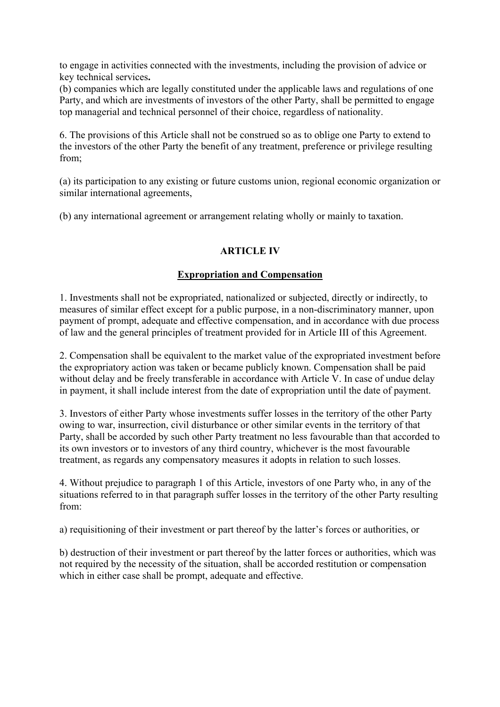to engage in activities connected with the investments, including the provision of advice or key technical services**.**

(b) companies which are legally constituted under the applicable laws and regulations of one Party, and which are investments of investors of the other Party, shall be permitted to engage top managerial and technical personnel of their choice, regardless of nationality.

6. The provisions of this Article shall not be construed so as to oblige one Party to extend to the investors of the other Party the benefit of any treatment, preference or privilege resulting from;

(a) its participation to any existing or future customs union, regional economic organization or similar international agreements,

(b) any international agreement or arrangement relating wholly or mainly to taxation.

## **ARTICLE IV**

### **Expropriation and Compensation**

1. Investments shall not be expropriated, nationalized or subjected, directly or indirectly, to measures of similar effect except for a public purpose, in a non-discriminatory manner, upon payment of prompt, adequate and effective compensation, and in accordance with due process of law and the general principles of treatment provided for in Article III of this Agreement.

2. Compensation shall be equivalent to the market value of the expropriated investment before the expropriatory action was taken or became publicly known. Compensation shall be paid without delay and be freely transferable in accordance with Article V. In case of undue delay in payment, it shall include interest from the date of expropriation until the date of payment.

3. Investors of either Party whose investments suffer losses in the territory of the other Party owing to war, insurrection, civil disturbance or other similar events in the territory of that Party, shall be accorded by such other Party treatment no less favourable than that accorded to its own investors or to investors of any third country, whichever is the most favourable treatment, as regards any compensatory measures it adopts in relation to such losses.

4. Without prejudice to paragraph 1 of this Article, investors of one Party who, in any of the situations referred to in that paragraph suffer losses in the territory of the other Party resulting from:

a) requisitioning of their investment or part thereof by the latter's forces or authorities, or

b) destruction of their investment or part thereof by the latter forces or authorities, which was not required by the necessity of the situation, shall be accorded restitution or compensation which in either case shall be prompt, adequate and effective.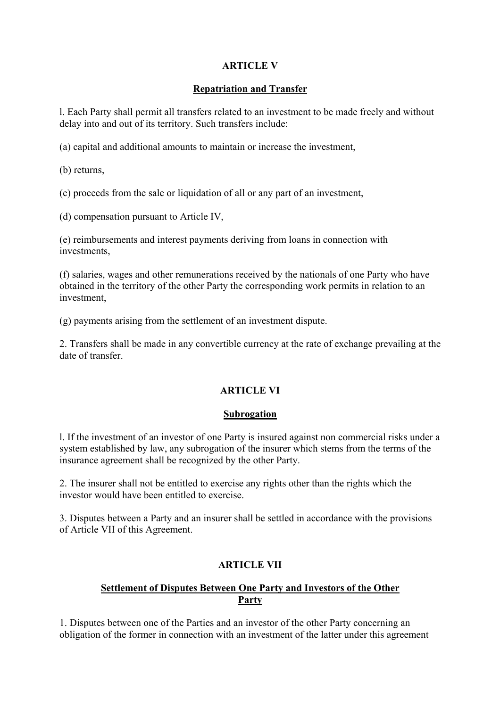# **ARTICLE V**

### **Repatriation and Transfer**

l. Each Party shall permit all transfers related to an investment to be made freely and without delay into and out of its territory. Such transfers include:

(a) capital and additional amounts to maintain or increase the investment,

(b) returns,

(c) proceeds from the sale or liquidation of all or any part of an investment,

(d) compensation pursuant to Article IV,

(e) reimbursements and interest payments deriving from loans in connection with investments,

(f) salaries, wages and other remunerations received by the nationals of one Party who have obtained in the territory of the other Party the corresponding work permits in relation to an investment,

(g) payments arising from the settlement of an investment dispute.

2. Transfers shall be made in any convertible currency at the rate of exchange prevailing at the date of transfer.

### **ARTICLE VI**

### **Subrogation**

l. If the investment of an investor of one Party is insured against non commercial risks under a system established by law, any subrogation of the insurer which stems from the terms of the insurance agreement shall be recognized by the other Party.

2. The insurer shall not be entitled to exercise any rights other than the rights which the investor would have been entitled to exercise.

3. Disputes between a Party and an insurer shall be settled in accordance with the provisions of Article VII of this Agreement.

# **ARTICLE VII**

## **Settlement of Disputes Between One Party and Investors of the Other Party**

1. Disputes between one of the Parties and an investor of the other Party concerning an obligation of the former in connection with an investment of the latter under this agreement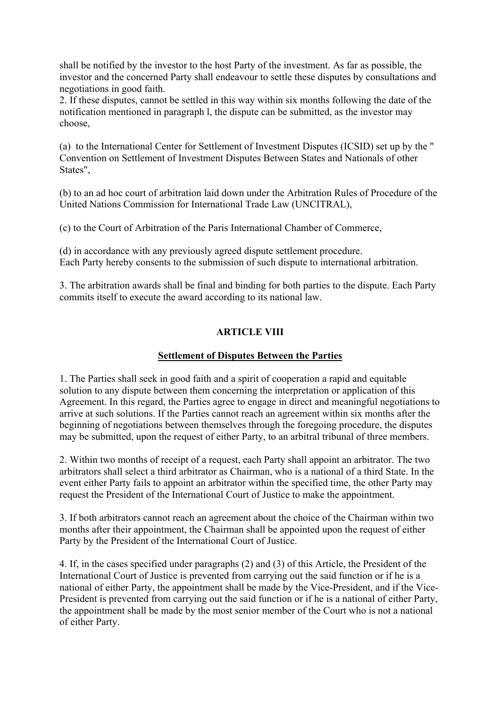shall be notified by the investor to the host Party of the investment. As far as possible, the investor and the concerned Party shall endeavour to settle these disputes by consultations and negotiations in good faith.

2. If these disputes, cannot be settled in this way within six months following the date of the notification mentioned in paragraph l, the dispute can be submitted, as the investor may choose,

(a) to the International Center for Settlement of Investment Disputes (ICSID) set up by the " Convention on Settlement of Investment Disputes Between States and Nationals of other States",

(b) to an ad hoc court of arbitration laid down under the Arbitration Rules of Procedure of the United Nations Commission for International Trade Law (UNCITRAL),

(c) to the Court of Arbitration of the Paris International Chamber of Commerce,

(d) in accordance with any previously agreed dispute settlement procedure. Each Party hereby consents to the submission of such dispute to international arbitration.

3. The arbitration awards shall be final and binding for both parties to the dispute. Each Party commits itself to execute the award according to its national law.

### **ARTICLE VIII**

### **Settlement of Disputes Between the Parties**

1. The Parties shall seek in good faith and a spirit of cooperation a rapid and equitable solution to any dispute between them concerning the interpretation or application of this Agreement. In this regard, the Parties agree to engage in direct and meaningful negotiations to arrive at such solutions. If the Parties cannot reach an agreement within six months after the beginning of negotiations between themselves through the foregoing procedure, the disputes may be submitted, upon the request of either Party, to an arbitral tribunal of three members.

2. Within two months of receipt of a request, each Party shall appoint an arbitrator. The two arbitrators shall select a third arbitrator as Chairman, who is a national of a third State. In the event either Party fails to appoint an arbitrator within the specified time, the other Party may request the President of the International Court of Justice to make the appointment.

3. If both arbitrators cannot reach an agreement about the choice of the Chairman within two months after their appointment, the Chairman shall be appointed upon the request of either Party by the President of the International Court of Justice.

4. If, in the cases specified under paragraphs (2) and (3) of this Article, the President of the International Court of Justice is prevented from carrying out the said function or if he is a national of either Party, the appointment shall be made by the Vice-President, and if the Vice-President is prevented from carrying out the said function or if he is a national of either Party, the appointment shall be made by the most senior member of the Court who is not a national of either Party.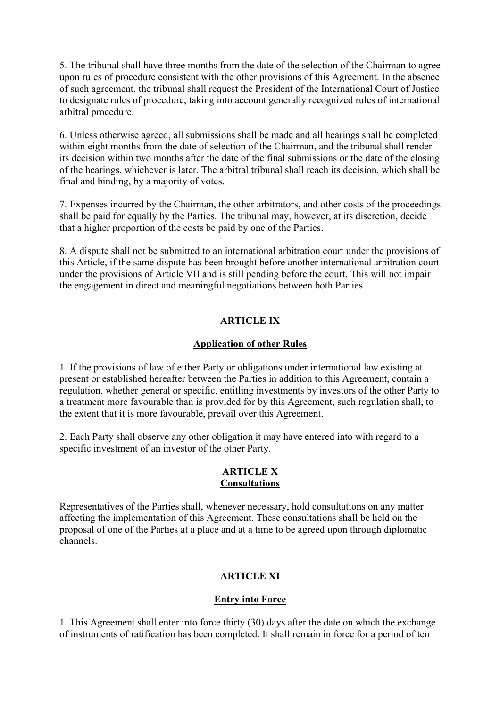5. The tribunal shall have three months from the date of the selection of the Chairman to agree upon rules of procedure consistent with the other provisions of this Agreement. In the absence of such agreement, the tribunal shall request the President of the International Court of Justice to designate rules of procedure, taking into account generally recognized rules of international arbitral procedure.

6. Unless otherwise agreed, all submissions shall be made and all hearings shall be completed within eight months from the date of selection of the Chairman, and the tribunal shall render its decision within two months after the date of the final submissions or the date of the closing of the hearings, whichever is later. The arbitral tribunal shall reach its decision, which shall be final and binding, by a majority of votes.

7. Expenses incurred by the Chairman, the other arbitrators, and other costs of the proceedings shall be paid for equally by the Parties. The tribunal may, however, at its discretion, decide that a higher proportion of the costs be paid by one of the Parties.

8. A dispute shall not be submitted to an international arbitration court under the provisions of this Article, if the same dispute has been brought before another international arbitration court under the provisions of Article VII and is still pending before the court. This will not impair the engagement in direct and meaningful negotiations between both Parties.

## **ARTICLE IX**

## **Application of other Rules**

1. If the provisions of law of either Party or obligations under international law existing at present or established hereafter between the Parties in addition to this Agreement, contain a regulation, whether general or specific, entitling investments by investors of the other Party to a treatment more favourable than is provided for by this Agreement, such regulation shall, to the extent that it is more favourable, prevail over this Agreement.

2. Each Party shall observe any other obligation it may have entered into with regard to a specific investment of an investor of the other Party.

### **ARTICLE X Consultations**

Representatives of the Parties shall, whenever necessary, hold consultations on any matter affecting the implementation of this Agreement. These consultations shall be held on the proposal of one of the Parties at a place and at a time to be agreed upon through diplomatic channels.

# **ARTICLE XI**

# **Entry into Force**

1. This Agreement shall enter into force thirty (30) days after the date on which the exchange of instruments of ratification has been completed. It shall remain in force for a period of ten